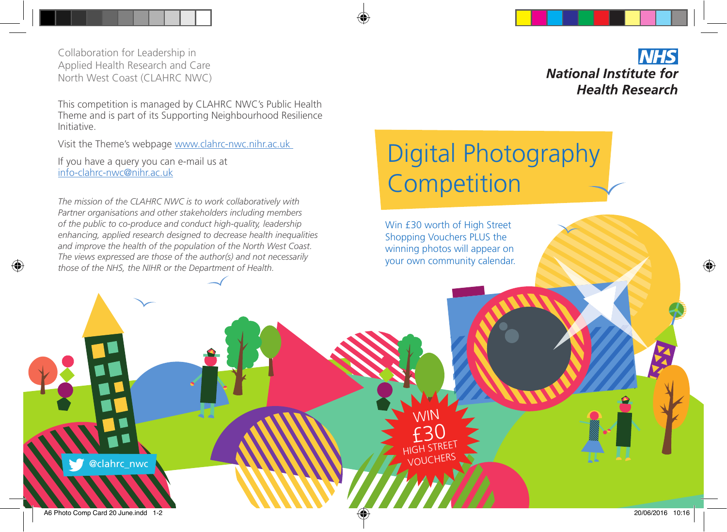Collaboration for Leadership in Applied Health Research and Care North West Coast (CLAHRC NWC)

This competition is managed by CLAHRC NWC's Public Health Theme and is part of its Supporting Neighbourhood Resilience Initiative.

Visit the Theme's webpage www.clahrc-nwc.nihr.ac.uk

If you have a query you can e-mail us at info-clahrc-nwc@nihr.ac.uk

*The mission of the CLAHRC NWC is to work collaboratively with Partner organisations and other stakeholders including members of the public to co-produce and conduct high-quality, leadership enhancing, applied research designed to decrease health inequalities and improve the health of the population of the North West Coast. The views expressed are those of the author(s) and not necessarily those of the NHS, the NIHR or the Department of Health.*

## Digital Photography **Competition**

Win £30 worth of High Street Shopping Vouchers PLUS the winning photos will appear on your own community calendar.

> WIN £30

**HIGH STREET** VOUCHERS

A6 Photo Comp Card 20 June.indd 1-2 20/06/2016 10:16

◈

@clahrc\_nwc

**NHS** 

◈

**National Institute for** 

**Health Research**